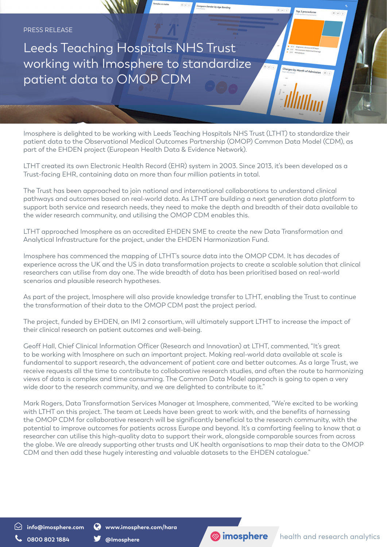Leeds Teaching Hospitals NHS Trust working with Imosphere to standardize patient data to OMOP CDM

Imosphere is delighted to be working with Leeds Teaching Hospitals NHS Trust (LTHT) to standardize their patient data to the Observational Medical Outcomes Partnership (OMOP) Common Data Model (CDM), as part of the EHDEN project (European Health Data & Evidence Network).

LTHT created its own Electronic Health Record (EHR) system in 2003. Since 2013, it's been developed as a Trust-facing EHR, containing data on more than four million patients in total.

The Trust has been approached to join national and international collaborations to understand clinical pathways and outcomes based on real-world data. As LTHT are building a next generation data platform to support both service and research needs, they need to make the depth and breadth of their data available to the wider research community, and utilising the OMOP CDM enables this.

LTHT approached Imosphere as an accredited EHDEN SME to create the new Data Transformation and Analytical Infrastructure for the project, under the EHDEN Harmonization Fund.

Imosphere has commenced the mapping of LTHT's source data into the OMOP CDM. It has decades of experience across the UK and the US in data transformation projects to create a scalable solution that clinical researchers can utilise from day one. The wide breadth of data has been prioritised based on real-world scenarios and plausible research hypotheses.

As part of the project, Imosphere will also provide knowledge transfer to LTHT, enabling the Trust to continue the transformation of their data to the OMOP CDM past the project period.

The project, funded by EHDEN, an IMI 2 consortium, will ultimately support LTHT to increase the impact of their clinical research on patient outcomes and well-being.

Geoff Hall, Chief Clinical Information Officer (Research and Innovation) at LTHT, commented, "It's great to be working with Imosphere on such an important project. Making real-world data available at scale is fundamental to support research, the advancement of patient care and better outcomes. As a large Trust, we receive requests all the time to contribute to collaborative research studies, and often the route to harmonizing views of data is complex and time consuming. The Common Data Model approach is going to open a very wide door to the research community, and we are delighted to contribute to it."

Mark Rogers, Data Transformation Services Manager at Imosphere, commented, "We're excited to be working with LTHT on this project. The team at Leeds have been great to work with, and the benefits of harnessing the OMOP CDM for collaborative research will be significantly beneficial to the research community, with the potential to improve outcomes for patients across Europe and beyond. It's a comforting feeling to know that a researcher can utilise this high-quality data to support their work, alongside comparable sources from across the globe. We are already supporting other trusts and UK health organisations to map their data to the OMOP CDM and then add these hugely interesting and valuable datasets to the EHDEN catalogue."

**info@imosphere.com www.imosphere.com/hara**



Top 3 procedures